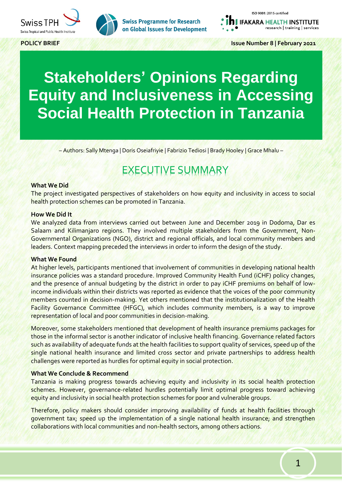



ISO 9001: 2015 certified

**IFAKARA HEALTH INSTITUTE** research | training | services

**POLICY BRIEF Issue Number 8 | February 2021**

# **Stakeholders' Opinions Regarding Equity and Inclusiveness in Accessing Social Health Protection in Tanzania**

– Authors: Sally Mtenga | Doris Oseiafriyie | Fabrizio Tediosi | Brady Hooley | Grace Mhalu –

# EXECUTIVE SUMMARY

#### **What We Did**

The project investigated perspectives of stakeholders on how equity and inclusivity in access to social health protection schemes can be promoted in Tanzania.

#### **How We Did It**

We analyzed data from interviews carried out between June and December 2019 in Dodoma, Dar es Salaam and Kilimanjaro regions. They involved multiple stakeholders from the Government, Non-Governmental Organizations (NGO), district and regional officials, and local community members and leaders. Context mapping preceded the interviews in order to inform the design of the study.

#### **What We Found**

At higher levels, participants mentioned that involvement of communities in developing national health insurance policies was a standard procedure. Improved Community Health Fund (iCHF) policy changes, and the presence of annual budgeting by the district in order to pay iCHF premiums on behalf of lowincome individuals within their districts was reported as evidence that the voices of the poor community members counted in decision-making. Yet others mentioned that the institutionalization of the Health Facility Governance Committee (HFGC), which includes community members, is a way to improve representation of local and poor communities in decision-making.

Moreover, some stakeholders mentioned that development of health insurance premiums packages for those in the informal sector is another indicator of inclusive health financing. Governance related factors such as availability of adequate funds at the health facilities to support quality of services, speed up of the single national health insurance and limited cross sector and private partnerships to address health challenges were reported as hurdles for optimal equity in social protection.

### **What We Conclude & Recommend**

Tanzania is making progress towards achieving equity and inclusivity in its social health protection schemes. However, governance-related hurdles potentially limit optimal progress toward achieving equity and inclusivity in social health protection schemes for poor and vulnerable groups.

Therefore, policy makers should consider improving availability of funds at health facilities through government tax; speed up the implementation of a single national health insurance; and strengthen collaborations with local communities and non-health sectors, among others actions.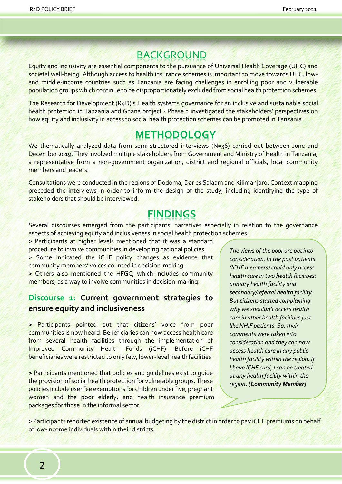### BACKGROUND

Equity and inclusivity are essential components to the pursuance of Universal Health Coverage (UHC) and societal well-being. Although access to health insurance schemes is important to move towards UHC, lowand middle-income countries such as Tanzania are facing challenges in enrolling poor and vulnerable population groups which continue to be disproportionately excluded from social health protection schemes.

The Research for Development (R4D)'s Health systems governance for an inclusive and sustainable social health protection in Tanzania and Ghana project - Phase 2 investigated the stakeholders' perspectives on how equity and inclusivity in access to social health protection schemes can be promoted in Tanzania.

### **METHODOLOGY**

We thematically analyzed data from semi-structured interviews (N=36) carried out between June and December 2019. They involved multiple stakeholders from Government and Ministry of Health in Tanzania, a representative from a non-government organization, district and regional officials, local community members and leaders.

Consultations were conducted in the regions of Dodoma, Dar es Salaam and Kilimanjaro. Context mapping preceded the interviews in order to inform the design of the study, including identifying the type of stakeholders that should be interviewed.

### **FINDINGS**

Several discourses emerged from the participants' narratives especially in relation to the governance aspects of achieving equity and inclusiveness in social health protection schemes.

**>** Participants at higher levels mentioned that it was a standard procedure to involve communities in developing national policies. **>** Some indicated the iCHF policy changes as evidence that

community members' voices counted in decision-making.

**>** Others also mentioned the HFGC, which includes community members, as a way to involve communities in decision-making.

### **Discourse 1: Current government strategies to ensure equity and inclusiveness**

**>** Participants pointed out that citizens' voice from poor communities is now heard. Beneficiaries can now access health care from several health facilities through the implementation of Improved Community Health Funds (iCHF). Before iCHF beneficiaries were restricted to only few, lower-level health facilities.

**>** Participants mentioned that policies and guidelines exist to guide the provision of social health protection for vulnerable groups. These policies include user fee exemptions for children under five, pregnant women and the poor elderly, and health insurance premium packages for those in the informal sector.

*The views of the poor are put into consideration. In the past patients (ICHF members) could only access health care in two health facilities: primary health facility and secondary/referral health facility. But citizens started complaining why we shouldn't access health care in other health facilities just like NHIF patients. So, their comments were taken into consideration and they can now access health care in any public health facility within the region. If I have ICHF card, I can be treated at any health facility within the region. [Community Member]*

**>** Participants reported existence of annual budgeting by the district in order to pay iCHF premiums on behalf of low-income individuals within their districts.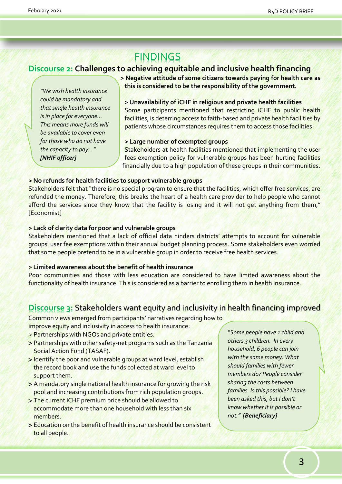## **FINDINGS**

### **Discourse 2: Challenges to achieving equitable and inclusive health financing**

*"We wish health insurance could be mandatory and that single health insurance is in place for everyone... This means more funds will be available to cover even for those who do not have the capacity to pay…" [NHIF officer]*

**> Negative attitude of some citizens towards paying for health care as this is considered to be the responsibility of the government.**

### **> Unavailability of iCHF in religious and private health facilities**

Some participants mentioned that restricting iCHF to public health facilities, is deterring access to faith-based and private health facilities by patients whose circumstances requires them to access those facilities:

#### **> Large number of exempted groups**

Stakeholders at health facilities mentioned that implementing the user fees exemption policy for vulnerable groups has been hurting facilities financially due to a high population of these groups in their communities.

#### **> No refunds for health facilities to support vulnerable groups**

Stakeholders felt that "there is no special program to ensure that the facilities, which offer free services, are refunded the money. Therefore, this breaks the heart of a health care provider to help people who cannot afford the services since they know that the facility is losing and it will not get anything from them," [Economist]

#### **> Lack of clarity data for poor and vulnerable groups**

Stakeholders mentioned that a lack of official data hinders districts' attempts to account for vulnerable groups' user fee exemptions within their annual budget planning process. Some stakeholders even worried that some people pretend to be in a vulnerable group in order to receive free health services.

#### **> Limited awareness about the benefit of health insurance**

Poor communities and those with less education are considered to have limited awareness about the functionality of health insurance. This is considered as a barrier to enrolling them in health insurance.

### **Discourse 3:** Stakeholders want equity and inclusivity in health financing improved

Common views emerged from participants' narratives regarding how to improve equity and inclusivity in access to health insurance:

- > Partnerships with NGOs and private entities.
- Partnerships with other safety-net programs such as the Tanzania Social Action Fund (TASAF).
- > Identify the poor and vulnerable groups at ward level, establish the record book and use the funds collected at ward level to support them.
- A mandatory single national health insurance for growing the risk pool and increasing contributions from rich population groups.
- The current iCHF premium price should be allowed to accommodate more than one household with less than six members.
- Education on the benefit of health insurance should be consistent to all people.

*"Some people have 1 child and others 3 children. In every household, 6 people can join with the same money. What should families with fewer members do? People consider sharing the costs between families. Is this possible? I have been asked this, but I don't know whether it is possible or not." [Beneficiary]*